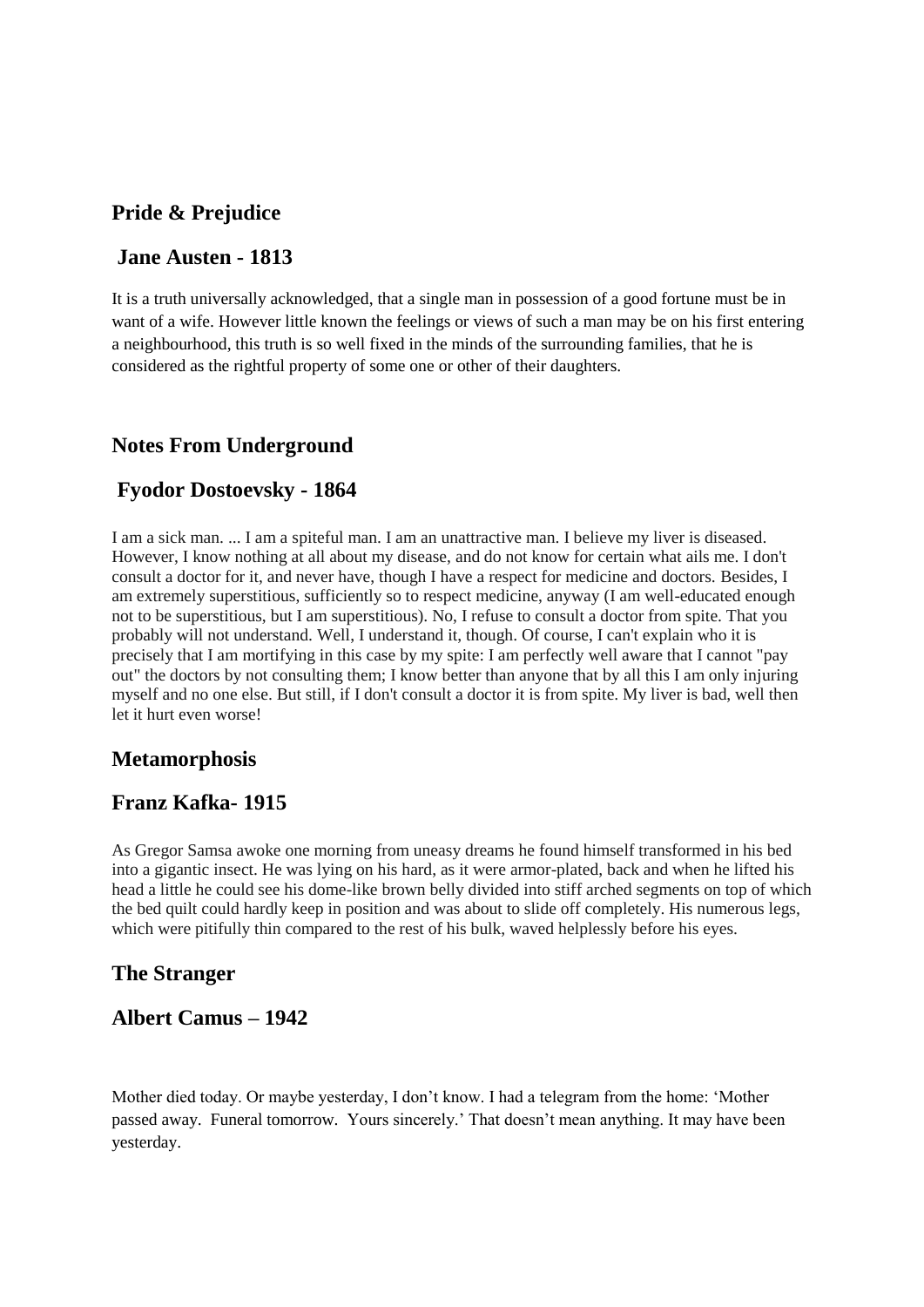## **Pride & Prejudice**

#### **Jane Austen - 1813**

It is a truth universally acknowledged, that a single man in possession of a good fortune must be in want of a wife. However little known the feelings or views of such a man may be on his first entering a neighbourhood, this truth is so well fixed in the minds of the surrounding families, that he is considered as the rightful property of some one or other of their daughters.

## **Notes From Underground**

#### **Fyodor Dostoevsky - 1864**

I am a sick man. ... I am a spiteful man. I am an unattractive man. I believe my liver is diseased. However, I know nothing at all about my disease, and do not know for certain what ails me. I don't consult a doctor for it, and never have, though I have a respect for medicine and doctors. Besides, I am extremely superstitious, sufficiently so to respect medicine, anyway (I am well-educated enough not to be superstitious, but I am superstitious). No, I refuse to consult a doctor from spite. That you probably will not understand. Well, I understand it, though. Of course, I can't explain who it is precisely that I am mortifying in this case by my spite: I am perfectly well aware that I cannot "pay out" the doctors by not consulting them; I know better than anyone that by all this I am only injuring myself and no one else. But still, if I don't consult a doctor it is from spite. My liver is bad, well then let it hurt even worse!

#### **Metamorphosis**

#### **Franz Kafka- 1915**

As Gregor Samsa awoke one morning from uneasy dreams he found himself transformed in his bed into a gigantic insect. He was lying on his hard, as it were armor-plated, back and when he lifted his head a little he could see his dome-like brown belly divided into stiff arched segments on top of which the bed quilt could hardly keep in position and was about to slide off completely. His numerous legs, which were pitifully thin compared to the rest of his bulk, waved helplessly before his eyes.

#### **The Stranger**

# **Albert Camus – 1942**

Mother died today. Or maybe yesterday, I don't know. I had a telegram from the home: 'Mother passed away. Funeral tomorrow. Yours sincerely.' That doesn't mean anything. It may have been yesterday.